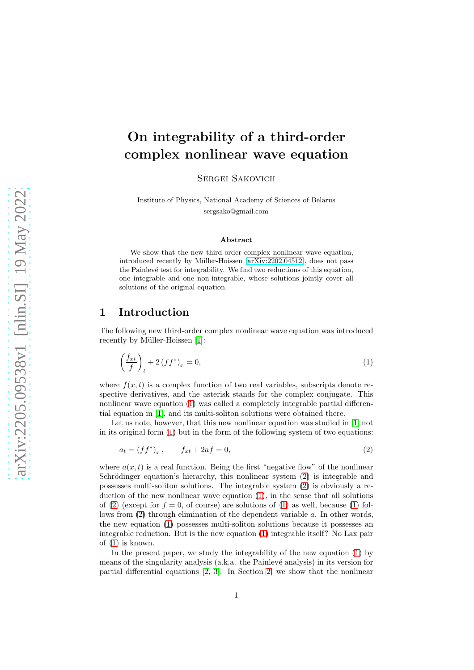# On integrability of a third-order complex nonlinear wave equation

Sergei Sakovich

Institute of Physics, National Academy of Sciences of Belarus sergsako@gmail.com

#### <span id="page-0-1"></span>Abstract

We show that the new third-order complex nonlinear wave equation, introduced recently by Müller-Hoissen [\[arXiv:2202.04512\]](http://arxiv.org/abs/2202.04512), does not pass the Painlevé test for integrability. We find two reductions of this equation, one integrable and one non-integrable, whose solutions jointly cover all solutions of the original equation.

#### 1 Introduction

The following new third-order complex nonlinear wave equation was introduced recently by Müller-Hoissen [\[1\]](#page-5-0):

<span id="page-0-0"></span>
$$
\left(\frac{f_{xt}}{f}\right)_t + 2\left(f f^*\right)_x = 0,\tag{1}
$$

where  $f(x, t)$  is a complex function of two real variables, subscripts denote respective derivatives, and the asterisk stands for the complex conjugate. This nonlinear wave equation [\(1\)](#page-0-0) was called a completely integrable partial differential equation in [\[1\]](#page-5-0), and its multi-soliton solutions were obtained there.

Let us note, however, that this new nonlinear equation was studied in [\[1\]](#page-5-0) not in its original form [\(1\)](#page-0-0) but in the form of the following system of two equations:

$$
a_t = (ff^*)_x, \t f_{xt} + 2af = 0,
$$
\t(2)

where  $a(x, t)$  is a real function. Being the first "negative flow" of the nonlinear Schrödinger equation's hierarchy, this nonlinear system  $(2)$  is integrable and possesses multi-soliton solutions. The integrable system [\(2\)](#page-0-1) is obviously a reduction of the new nonlinear wave equation [\(1\)](#page-0-0), in the sense that all solutions of [\(2\)](#page-0-1) (except for  $f = 0$ , of course) are solutions of [\(1\)](#page-0-0) as well, because (1) follows from [\(2\)](#page-0-1) through elimination of the dependent variable a. In other words, the new equation [\(1\)](#page-0-0) possesses multi-soliton solutions because it possesses an integrable reduction. But is the new equation [\(1\)](#page-0-0) integrable itself? No Lax pair of [\(1\)](#page-0-0) is known.

In the present paper, we study the integrability of the new equation [\(1\)](#page-0-0) by means of the singularity analysis (a.k.a. the Painlev´e analysis) in its version for partial differential equations [\[2,](#page-5-1) [3\]](#page-5-2). In Section [2,](#page-1-0) we show that the nonlinear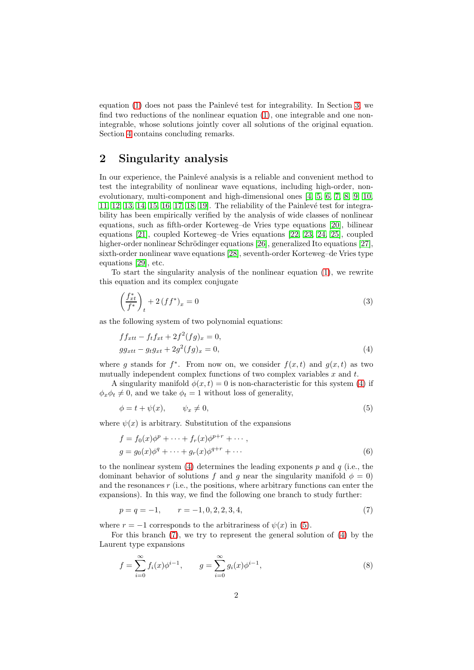equation  $(1)$  does not pass the Painlevé test for integrability. In Section [3,](#page-2-0) we find two reductions of the nonlinear equation [\(1\)](#page-0-0), one integrable and one nonintegrable, whose solutions jointly cover all solutions of the original equation. Section [4](#page-5-3) contains concluding remarks.

### <span id="page-1-0"></span>2 Singularity analysis

In our experience, the Painlevé analysis is a reliable and convenient method to test the integrability of nonlinear wave equations, including high-order, nonevolutionary, multi-component and high-dimensional ones [\[4,](#page-5-4) [5,](#page-6-0) [6,](#page-6-1) [7,](#page-6-2) [8,](#page-6-3) [9,](#page-6-4) [10,](#page-6-5) [11,](#page-6-6) [12,](#page-6-7) [13,](#page-6-8) [14,](#page-6-9) [15,](#page-6-10) [16,](#page-6-11) [17,](#page-6-12) [18,](#page-6-13) 19. The reliability of the Painlevé test for integrability has been empirically verified by the analysis of wide classes of nonlinear equations, such as fifth-order Korteweg–de Vries type equations [\[20\]](#page-6-15), bilinear equations [\[21\]](#page-6-16), coupled Korteweg–de Vries equations [\[22,](#page-6-17) [23,](#page-6-18) [24,](#page-7-0) [25\]](#page-7-1), coupled higher-order nonlinear Schrödinger equations [\[26\]](#page-7-2), generalized Ito equations [\[27\]](#page-7-3), sixth-order nonlinear wave equations [\[28\]](#page-7-4), seventh-order Korteweg–de Vries type equations [\[29\]](#page-7-5), etc.

To start the singularity analysis of the nonlinear equation [\(1\)](#page-0-0), we rewrite this equation and its complex conjugate

<span id="page-1-5"></span>
$$
\left(\frac{f_{xt}^*}{f^*}\right)_t + 2\left(f f^*\right)_x = 0\tag{3}
$$

as the following system of two polynomial equations:

<span id="page-1-1"></span>
$$
f f_{xtt} - f_t f_{xt} + 2f^2 (fg)_x = 0,
$$
  
\n
$$
gg_{xtt} - g_t g_{xt} + 2g^2 (fg)_x = 0,
$$
\n(4)

where g stands for  $f^*$ . From now on, we consider  $f(x,t)$  and  $g(x,t)$  as two mutually independent complex functions of two complex variables  $x$  and  $t$ .

A singularity manifold  $\phi(x,t) = 0$  is non-characteristic for this system [\(4\)](#page-1-1) if  $\phi_x \phi_t \neq 0$ , and we take  $\phi_t = 1$  without loss of generality,

<span id="page-1-2"></span>
$$
\phi = t + \psi(x), \qquad \psi_x \neq 0,\tag{5}
$$

where  $\psi(x)$  is arbitrary. Substitution of the expansions

$$
f = f_0(x)\phi^p + \dots + f_r(x)\phi^{p+r} + \dots,
$$
  
\n
$$
g = g_0(x)\phi^q + \dots + g_r(x)\phi^{q+r} + \dots
$$
\n(6)

to the nonlinear system [\(4\)](#page-1-1) determines the leading exponents p and q (i.e., the dominant behavior of solutions f and q near the singularity manifold  $\phi = 0$ ) and the resonances  $r$  (i.e., the positions, where arbitrary functions can enter the expansions). In this way, we find the following one branch to study further:

<span id="page-1-3"></span>
$$
p = q = -1, \qquad r = -1, 0, 2, 2, 3, 4,\tag{7}
$$

where  $r = -1$  corresponds to the arbitrariness of  $\psi(x)$  in [\(5\)](#page-1-2).

For this branch [\(7\)](#page-1-3), we try to represent the general solution of [\(4\)](#page-1-1) by the Laurent type expansions

<span id="page-1-4"></span>
$$
f = \sum_{i=0}^{\infty} f_i(x)\phi^{i-1}, \qquad g = \sum_{i=0}^{\infty} g_i(x)\phi^{i-1}, \qquad (8)
$$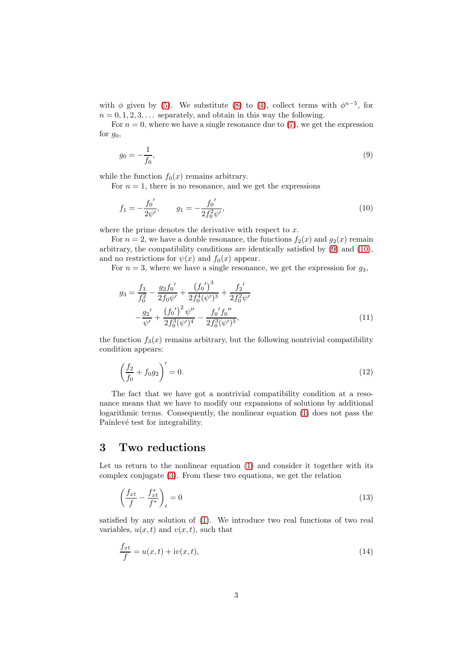with  $\phi$  given by [\(5\)](#page-1-2). We substitute [\(8\)](#page-1-4) to [\(4\)](#page-1-1), collect terms with  $\phi^{n-5}$ , for  $n = 0, 1, 2, 3, \ldots$  separately, and obtain in this way the following.

For  $n = 0$ , where we have a single resonance due to [\(7\)](#page-1-3), we get the expression for  $g_0$ ,

<span id="page-2-1"></span>
$$
g_0 = -\frac{1}{f_0},\tag{9}
$$

while the function  $f_0(x)$  remains arbitrary.

For  $n = 1$ , there is no resonance, and we get the expressions

<span id="page-2-2"></span>
$$
f_1 = -\frac{f_0'}{2\psi'}, \qquad g_1 = -\frac{f_0'}{2f_0^2\psi'},\tag{10}
$$

where the prime denotes the derivative with respect to  $x$ .

For  $n = 2$ , we have a double resonance, the functions  $f_2(x)$  and  $g_2(x)$  remain arbitrary, the compatibility conditions are identically satisfied by [\(9\)](#page-2-1) and [\(10\)](#page-2-2), and no restrictions for  $\psi(x)$  and  $f_0(x)$  appear.

For  $n = 3$ , where we have a single resonance, we get the expression for  $g_3$ ,

$$
g_3 = \frac{f_3}{f_0^2} - \frac{g_2 f_0'}{2f_0 \psi'} + \frac{(f_0')^3}{2f_0^4 (\psi')^3} + \frac{f_2'}{2f_0^2 \psi'}
$$

$$
-\frac{g_2'}{\psi'} + \frac{(f_0')^2 \psi''}{2f_0^3 (\psi')^4} - \frac{f_0' f_0''}{2f_0^3 (\psi')^3},\tag{11}
$$

the function  $f_3(x)$  remains arbitrary, but the following nontrivial compatibility condition appears:

$$
\left(\frac{f_2}{f_0} + f_0 g_2\right)' = 0.\tag{12}
$$

The fact that we have got a nontrivial compatibility condition at a resonance means that we have to modify our expansions of solutions by additional logarithmic terms. Consequently, the nonlinear equation [\(1\)](#page-0-0) does not pass the Painlevé test for integrability.

#### <span id="page-2-0"></span>3 Two reductions

Let us return to the nonlinear equation [\(1\)](#page-0-0) and consider it together with its complex conjugate [\(3\)](#page-1-5). From these two equations, we get the relation

<span id="page-2-3"></span>
$$
\left(\frac{f_{xt}}{f} - \frac{f_{xt}^*}{f^*}\right)_t = 0\tag{13}
$$

satisfied by any solution of [\(1\)](#page-0-0). We introduce two real functions of two real variables,  $u(x, t)$  and  $v(x, t)$ , such that

<span id="page-2-4"></span>
$$
\frac{f_{xt}}{f} = u(x,t) + \mathrm{i}v(x,t),\tag{14}
$$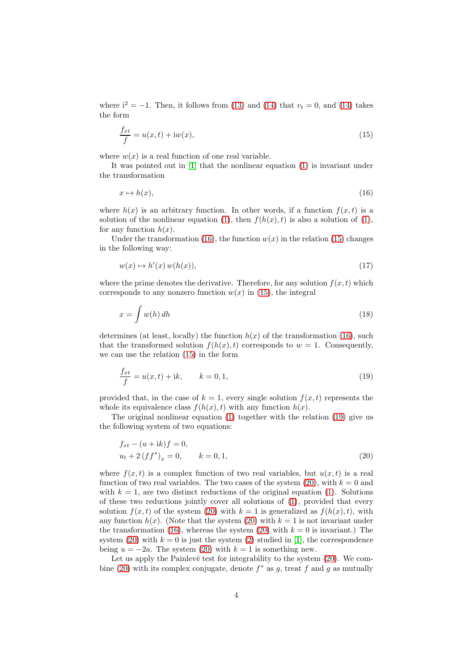where  $i^2 = -1$ . Then, it follows from [\(13\)](#page-2-3) and [\(14\)](#page-2-4) that  $v_t = 0$ , and (14) takes the form

<span id="page-3-1"></span>
$$
\frac{f_{xt}}{f} = u(x, t) + \mathrm{i}w(x),\tag{15}
$$

where  $w(x)$  is a real function of one real variable.

It was pointed out in [\[1\]](#page-5-0) that the nonlinear equation [\(1\)](#page-0-0) is invariant under the transformation

<span id="page-3-0"></span>
$$
x \mapsto h(x),\tag{16}
$$

where  $h(x)$  is an arbitrary function. In other words, if a function  $f(x, t)$  is a solution of the nonlinear equation [\(1\)](#page-0-0), then  $f(h(x), t)$  is also a solution of (1), for any function  $h(x)$ .

Under the transformation [\(16\)](#page-3-0), the function  $w(x)$  in the relation [\(15\)](#page-3-1) changes in the following way:

$$
w(x) \mapsto h'(x)w(h(x)),\tag{17}
$$

where the prime denotes the derivative. Therefore, for any solution  $f(x, t)$  which corresponds to any nonzero function  $w(x)$  in [\(15\)](#page-3-1), the integral

$$
x = \int w(h) dh \tag{18}
$$

determines (at least, locally) the function  $h(x)$  of the transformation [\(16\)](#page-3-0), such that the transformed solution  $f(h(x), t)$  corresponds to  $w = 1$ . Consequently, we can use the relation [\(15\)](#page-3-1) in the form

<span id="page-3-2"></span>
$$
\frac{f_{xt}}{f} = u(x, t) + ik, \qquad k = 0, 1,
$$
\n(19)

provided that, in the case of  $k = 1$ , every single solution  $f(x, t)$  represents the whole its equivalence class  $f(h(x), t)$  with any function  $h(x)$ .

The original nonlinear equation [\(1\)](#page-0-0) together with the relation [\(19\)](#page-3-2) give us the following system of two equations:

<span id="page-3-3"></span>
$$
f_{xt} - (u + ik)f = 0,u_t + 2(ff^*)_x = 0, \t k = 0, 1,
$$
\t(20)

where  $f(x, t)$  is a complex function of two real variables, but  $u(x, t)$  is a real function of two real variables. The two cases of the system  $(20)$ , with  $k = 0$  and with  $k = 1$ , are two distinct reductions of the original equation [\(1\)](#page-0-0). Solutions of these two reductions jointly cover all solutions of [\(1\)](#page-0-0), provided that every solution  $f(x, t)$  of the system [\(20\)](#page-3-3) with  $k = 1$  is generalized as  $f(h(x), t)$ , with any function  $h(x)$ . (Note that the system [\(20\)](#page-3-3) with  $k = 1$  is not invariant under the transformation [\(16\)](#page-3-0), whereas the system [\(20\)](#page-3-3) with  $k = 0$  is invariant.) The system [\(20\)](#page-3-3) with  $k = 0$  is just the system [\(2\)](#page-0-1) studied in [\[1\]](#page-5-0), the correspondence being  $u = -2a$ . The system [\(20\)](#page-3-3) with  $k = 1$  is something new.

Let us apply the Painlevé test for integrability to the system  $(20)$ . We com-bine [\(20\)](#page-3-3) with its complex conjugate, denote  $f^*$  as g, treat f and g as mutually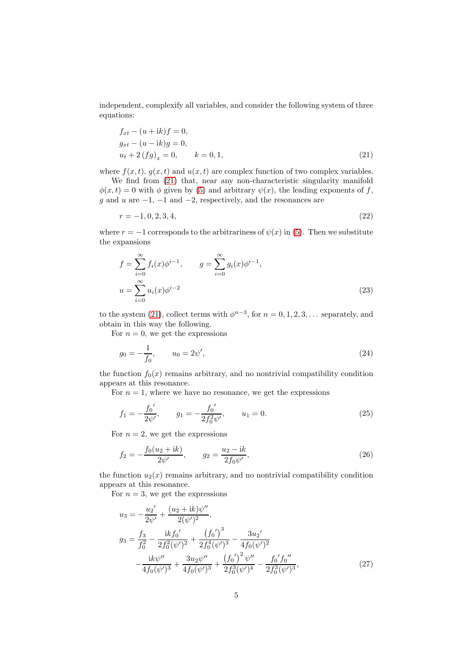independent, complexify all variables, and consider the following system of three equations:

<span id="page-4-0"></span>
$$
f_{xt} - (u + ik)f = 0,g_{xt} - (u - ik)g = 0,u_t + 2(fg)_x = 0, \t k = 0, 1,
$$
\t(21)

where  $f(x, t)$ ,  $g(x, t)$  and  $u(x, t)$  are complex function of two complex variables.

We find from  $(21)$  that, near any non-characteristic singularity manifold  $\phi(x,t) = 0$  with  $\phi$  given by [\(5\)](#page-1-2) and arbitrary  $\psi(x)$ , the leading exponents of f, q and u are  $-1$ ,  $-1$  and  $-2$ , respectively, and the resonances are

$$
r = -1, 0, 2, 3, 4,\tag{22}
$$

where  $r = -1$  corresponds to the arbitrariness of  $\psi(x)$  in [\(5\)](#page-1-2). Then we substitute the expansions

$$
f = \sum_{i=0}^{\infty} f_i(x)\phi^{i-1}, \qquad g = \sum_{i=0}^{\infty} g_i(x)\phi^{i-1},
$$
  

$$
u = \sum_{i=0}^{\infty} u_i(x)\phi^{i-2}
$$
 (23)

to the system [\(21\)](#page-4-0), collect terms with  $\phi^{n-3}$ , for  $n = 0, 1, 2, 3, \ldots$  separately, and obtain in this way the following.

For  $n = 0$ , we get the expressions

$$
g_0 = -\frac{1}{f_0}, \qquad u_0 = 2\psi', \tag{24}
$$

the function  $f_0(x)$  remains arbitrary, and no nontrivial compatibility condition appears at this resonance.

For  $n = 1$ , where we have no resonance, we get the expressions

$$
f_1 = -\frac{f_0'}{2\psi'}, \qquad g_1 = -\frac{f_0'}{2f_0^2\psi'}, \qquad u_1 = 0.
$$
 (25)

For  $n = 2$ , we get the expressions

$$
f_2 = -\frac{f_0(u_2 + ik)}{2\psi'}, \qquad g_2 = \frac{u_2 - ik}{2f_0\psi'},
$$
 (26)

the function  $u_2(x)$  remains arbitrary, and no nontrivial compatibility condition appears at this resonance.

For  $n = 3$ , we get the expressions

$$
u_3 = -\frac{u_2'}{2\psi'} + \frac{(u_2 + ik)\psi''}{2(\psi')^2},
$$
  
\n
$$
g_3 = \frac{f_3}{f_0^2} - \frac{ikf_0'}{2f_0^2(\psi')^2} + \frac{(f_0')^3}{2f_0^4(\psi')^3} - \frac{3u_2'}{4f_0(\psi')^2} -\frac{ik\psi''}{4f_0(\psi')^3} + \frac{3u_2\psi''}{4f_0(\psi')^3} + \frac{(f_0')^2\psi''}{2f_0^3(\psi')^4} - \frac{f_0'f_0''}{2f_0^3(\psi')^3},
$$
\n(27)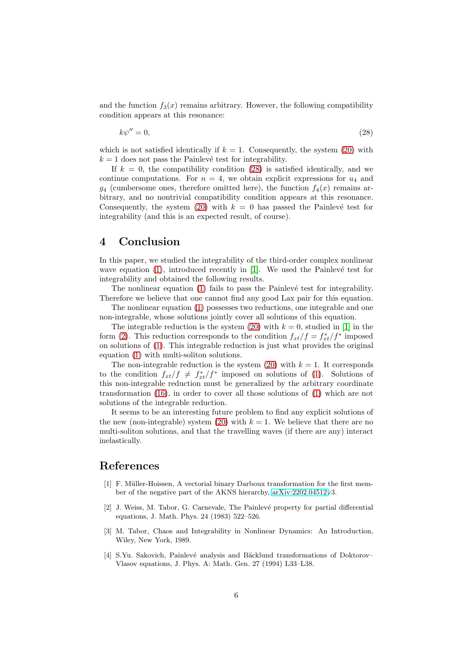and the function  $f_3(x)$  remains arbitrary. However, the following compatibility condition appears at this resonance:

<span id="page-5-5"></span>
$$
k\psi'' = 0,\t(28)
$$

which is not satisfied identically if  $k = 1$ . Consequently, the system [\(20\)](#page-3-3) with  $k = 1$  does not pass the Painlevé test for integrability.

If  $k = 0$ , the compatibility condition [\(28\)](#page-5-5) is satisfied identically, and we continue computations. For  $n = 4$ , we obtain explicit expressions for  $u_4$  and  $q_4$  (cumbersome ones, therefore omitted here), the function  $f_4(x)$  remains arbitrary, and no nontrivial compatibility condition appears at this resonance. Consequently, the system [\(20\)](#page-3-3) with  $k = 0$  has passed the Painlevé test for integrability (and this is an expected result, of course).

#### <span id="page-5-3"></span>4 Conclusion

In this paper, we studied the integrability of the third-order complex nonlinear wave equation  $(1)$ , introduced recently in  $[1]$ . We used the Painlevé test for integrability and obtained the following results.

The nonlinear equation  $(1)$  fails to pass the Painlevé test for integrability. Therefore we believe that one cannot find any good Lax pair for this equation.

The nonlinear equation [\(1\)](#page-0-0) possesses two reductions, one integrable and one non-integrable, whose solutions jointly cover all solutions of this equation.

The integrable reduction is the system [\(20\)](#page-3-3) with  $k = 0$ , studied in [\[1\]](#page-5-0) in the form [\(2\)](#page-0-1). This reduction corresponds to the condition  $f_{xt}/f = f_{xt}^*/f^*$  imposed on solutions of [\(1\)](#page-0-0). This integrable reduction is just what provides the original equation [\(1\)](#page-0-0) with multi-soliton solutions.

The non-integrable reduction is the system  $(20)$  with  $k = 1$ . It corresponds to the condition  $f_{xt}/f \neq f_{xt}^*/f^*$  imposed on solutions of [\(1\)](#page-0-0). Solutions of this non-integrable reduction must be generalized by the arbitrary coordinate transformation [\(16\)](#page-3-0), in order to cover all those solutions of [\(1\)](#page-0-0) which are not solutions of the integrable reduction.

It seems to be an interesting future problem to find any explicit solutions of the new (non-integrable) system [\(20\)](#page-3-3) with  $k = 1$ . We believe that there are no multi-soliton solutions, and that the travelling waves (if there are any) interact inelastically.

## <span id="page-5-0"></span>References

- [1] F. Müller-Hoissen, A vectorial binary Darboux transformation for the first member of the negative part of the AKNS hierarchy, [arXiv:2202.04512v](http://arxiv.org/abs/2202.04512)3.
- <span id="page-5-1"></span>[2] J. Weiss, M. Tabor, G. Carnevale, The Painlevé property for partial differential equations, J. Math. Phys. 24 (1983) 522–526.
- <span id="page-5-2"></span>[3] M. Tabor, Chaos and Integrability in Nonlinear Dynamics: An Introduction, Wiley, New York, 1989.
- <span id="page-5-4"></span>[4] S.Yu. Sakovich, Painlevé analysis and Bäcklund transformations of Doktorov– Vlasov equations, J. Phys. A: Math. Gen. 27 (1994) L33–L38.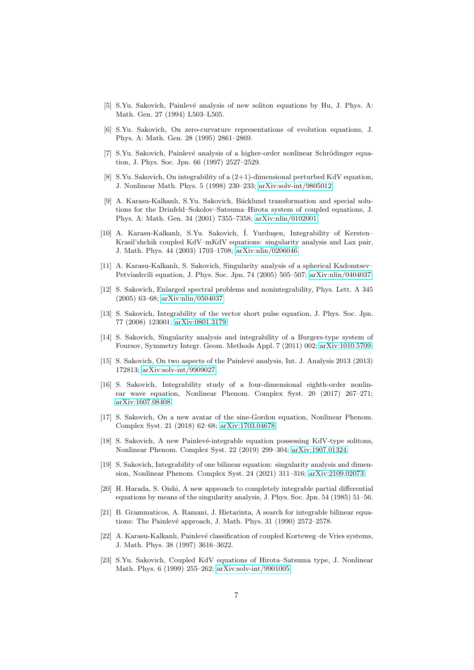- <span id="page-6-1"></span><span id="page-6-0"></span>[5] S.Yu. Sakovich, Painlevé analysis of new soliton equations by Hu, J. Phys. A: Math. Gen. 27 (1994) L503–L505.
- <span id="page-6-2"></span>[6] S.Yu. Sakovich, On zero-curvature representations of evolution equations, J. Phys. A: Math. Gen. 28 (1995) 2861–2869.
- [7] S.Yu. Sakovich, Painlevé analysis of a higher-order nonlinear Schrödinger equation, J. Phys. Soc. Jpn. 66 (1997) 2527–2529.
- <span id="page-6-3"></span>[8] S.Yu. Sakovich, On integrability of a (2+1)-dimensional perturbed KdV equation, J. Nonlinear Math. Phys. 5 (1998) 230–233; [arXiv:solv-int/9805012.](http://arxiv.org/abs/solv-int/9805012)
- <span id="page-6-4"></span>[9] A. Karasu-Kalkanlı, S.Yu. Sakovich, Bäcklund transformation and special solutions for the Drinfeld–Sokolov–Satsuma–Hirota system of coupled equations, J. Phys. A: Math. Gen. 34 (2001) 7355–7358; [arXiv:nlin/0102001.](http://arxiv.org/abs/nlin/0102001)
- <span id="page-6-5"></span>[10] A. Karasu-Kalkanlı, S.Yu. Sakovich, İ. Yurduşen, Integrability of Kersten– Krasil'shchik coupled KdV–mKdV equations: singularity analysis and Lax pair, J. Math. Phys. 44 (2003) 1703–1708; [arXiv:nlin/0206046.](http://arxiv.org/abs/nlin/0206046)
- <span id="page-6-6"></span>[11] A. Karasu-Kalkanlı, S. Sakovich, Singularity analysis of a spherical Kadomtsev– Petviashvili equation, J. Phys. Soc. Jpn. 74 (2005) 505–507; [arXiv:nlin/0404037.](http://arxiv.org/abs/nlin/0404037)
- <span id="page-6-7"></span>[12] S. Sakovich, Enlarged spectral problems and nonintegrability, Phys. Lett. A 345 (2005) 63–68; [arXiv:nlin/0504037.](http://arxiv.org/abs/nlin/0504037)
- <span id="page-6-8"></span>[13] S. Sakovich, Integrability of the vector short pulse equation, J. Phys. Soc. Jpn. 77 (2008) 123001; [arXiv:0801.3179.](http://arxiv.org/abs/0801.3179)
- <span id="page-6-9"></span>[14] S. Sakovich, Singularity analysis and integrability of a Burgers-type system of Foursov, Symmetry Integr. Geom. Methods Appl. 7 (2011) 002; [arXiv:1010.5709.](http://arxiv.org/abs/1010.5709)
- <span id="page-6-10"></span>[15] S. Sakovich, On two aspects of the Painlev´e analysis, Int. J. Analysis 2013 (2013) 172813; [arXiv:solv-int/9909027.](http://arxiv.org/abs/solv-int/9909027)
- <span id="page-6-11"></span>[16] S. Sakovich, Integrability study of a four-dimensional eighth-order nonlinear wave equation, Nonlinear Phenom. Complex Syst. 20 (2017) 267–271; [arXiv:1607.08408.](http://arxiv.org/abs/1607.08408)
- <span id="page-6-12"></span>[17] S. Sakovich, On a new avatar of the sine-Gordon equation, Nonlinear Phenom. Complex Syst. 21 (2018) 62–68; [arXiv:1703.04678.](http://arxiv.org/abs/1703.04678)
- <span id="page-6-13"></span>[18] S. Sakovich, A new Painlevé-integrable equation possessing KdV-type solitons, Nonlinear Phenom. Complex Syst. 22 (2019) 299–304; [arXiv:1907.01324.](http://arxiv.org/abs/1907.01324)
- <span id="page-6-14"></span>[19] S. Sakovich, Integrability of one bilinear equation: singularity analysis and dimension, Nonlinear Phenom. Complex Syst. 24 (2021) 311–316; [arXiv:2109.02073.](http://arxiv.org/abs/2109.02073)
- <span id="page-6-15"></span>[20] H. Harada, S. Oishi, A new approach to completely integrable partial differential equations by means of the singularity analysis, J. Phys. Soc. Jpn. 54 (1985) 51–56.
- <span id="page-6-16"></span>[21] B. Grammaticos, A. Ramani, J. Hietarinta, A search for integrable bilinear equations: The Painlevé approach, J. Math. Phys. 31 (1990) 2572-2578.
- <span id="page-6-17"></span>[22] A. Karasu-Kalkanlı, Painlevé classification of coupled Korteweg–de Vries systems, J. Math. Phys. 38 (1997) 3616–3622.
- <span id="page-6-18"></span>[23] S.Yu. Sakovich, Coupled KdV equations of Hirota–Satsuma type, J. Nonlinear Math. Phys. 6 (1999) 255–262; [arXiv:solv-int/9901005.](http://arxiv.org/abs/solv-int/9901005)